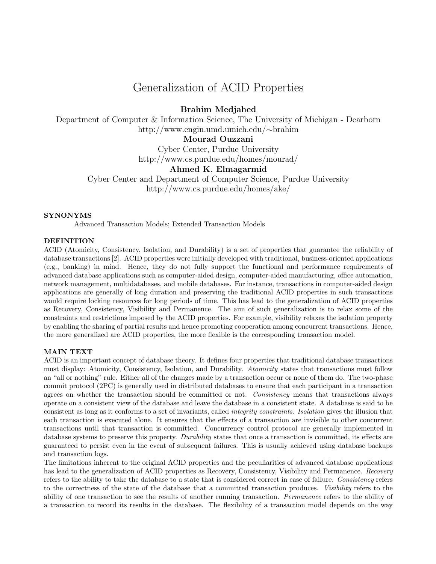# Generalization of ACID Properties

## Brahim Medjahed

Department of Computer & Information Science, The University of Michigan - Dearborn http://www.engin.umd.umich.edu/∼brahim

## Mourad Ouzzani

Cyber Center, Purdue University http://www.cs.purdue.edu/homes/mourad/

## Ahmed K. Elmagarmid

Cyber Center and Department of Computer Science, Purdue University http://www.cs.purdue.edu/homes/ake/

### SYNONYMS

Advanced Transaction Models; Extended Transaction Models

### DEFINITION

ACID (Atomicity, Consistency, Isolation, and Durability) is a set of properties that guarantee the reliability of database transactions [2]. ACID properties were initially developed with traditional, business-oriented applications (e.g., banking) in mind. Hence, they do not fully support the functional and performance requirements of advanced database applications such as computer-aided design, computer-aided manufacturing, office automation, network management, multidatabases, and mobile databases. For instance, transactions in computer-aided design applications are generally of long duration and preserving the traditional ACID properties in such transactions would require locking resources for long periods of time. This has lead to the generalization of ACID properties as Recovery, Consistency, Visibility and Permanence. The aim of such generalization is to relax some of the constraints and restrictions imposed by the ACID properties. For example, visibility relaxes the isolation property by enabling the sharing of partial results and hence promoting cooperation among concurrent transactions. Hence, the more generalized are ACID properties, the more flexible is the corresponding transaction model.

## MAIN TEXT

ACID is an important concept of database theory. It defines four properties that traditional database transactions must display: Atomicity, Consistency, Isolation, and Durability. Atomicity states that transactions must follow an "all or nothing" rule. Either all of the changes made by a transaction occur or none of them do. The two-phase commit protocol (2PC) is generally used in distributed databases to ensure that each participant in a transaction agrees on whether the transaction should be committed or not. Consistency means that transactions always operate on a consistent view of the database and leave the database in a consistent state. A database is said to be consistent as long as it conforms to a set of invariants, called integrity constraints. Isolation gives the illusion that each transaction is executed alone. It ensures that the effects of a transaction are invisible to other concurrent transactions until that transaction is committed. Concurrency control protocol are generally implemented in database systems to preserve this property. Durability states that once a transaction is committed, its effects are guaranteed to persist even in the event of subsequent failures. This is usually achieved using database backups and transaction logs.

The limitations inherent to the original ACID properties and the peculiarities of advanced database applications has lead to the generalization of ACID properties as Recovery, Consistency, Visibility and Permanence. Recovery refers to the ability to take the database to a state that is considered correct in case of failure. Consistency refers to the correctness of the state of the database that a committed transaction produces. Visibility refers to the ability of one transaction to see the results of another running transaction. Permanence refers to the ability of a transaction to record its results in the database. The flexibility of a transaction model depends on the way